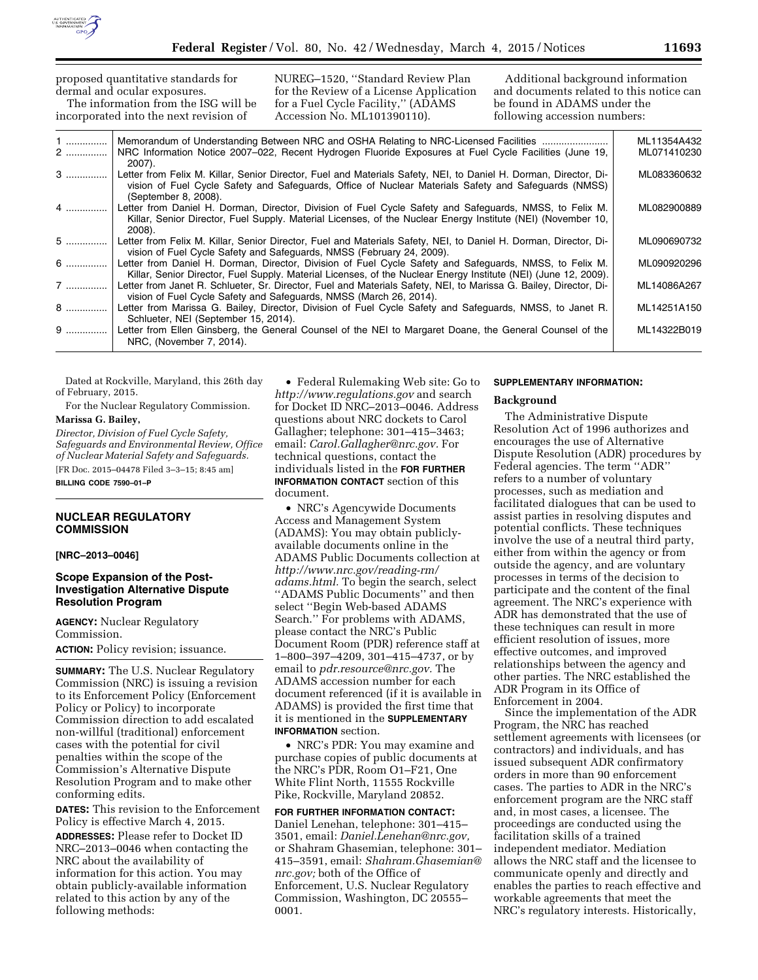

proposed quantitative standards for dermal and ocular exposures. The information from the ISG will be incorporated into the next revision of NUREG–1520, ''Standard Review Plan for the Review of a License Application for a Fuel Cycle Facility,'' (ADAMS Accession No. ML101390110). Additional background information and documents related to this notice can be found in ADAMS under the following accession numbers: 1 ............... Memorandum of Understanding Between NRC and OSHA Relating to NRC-Licensed Facilities ........................ ML11354A432 2 ............... NRC Information Notice 2007–022, Recent Hydrogen Fluoride Exposures at Fuel Cycle Facilities (June 19, 2007). ML071410230 3 ............... Letter from Felix M. Killar, Senior Director, Fuel and Materials Safety, NEI, to Daniel H. Dorman, Director, Division of Fuel Cycle Safety and Safeguards, Office of Nuclear Materials Safety and Safeguards (NMSS) (September 8, 2008). ML083360632 4 ............... Letter from Daniel H. Dorman, Director, Division of Fuel Cycle Safety and Safeguards, NMSS, to Felix M. Killar, Senior Director, Fuel Supply. Material Licenses, of the Nuclear Energy Institute (NEI) (November 10, 2008). ML082900889 5 ............... Letter from Felix M. Killar, Senior Director, Fuel and Materials Safety, NEI, to Daniel H. Dorman, Director, Division of Fuel Cycle Safety and Safeguards, NMSS (February 24, 2009). ML090690732 6 ............... Letter from Daniel H. Dorman, Director, Division of Fuel Cycle Safety and Safeguards, NMSS, to Felix M. Killar, Senior Director, Fuel Supply. Material Licenses, of the Nuclear Energy Institute (NEI) (June 12, 2009). ML090920296 7 ............... Letter from Janet R. Schlueter, Sr. Director, Fuel and Materials Safety, NEI, to Marissa G. Bailey, Director, Division of Fuel Cycle Safety and Safeguards, NMSS (March 26, 2014). ML14086A267 8 ............... Letter from Marissa G. Bailey, Director, Division of Fuel Cycle Safety and Safeguards, NMSS, to Janet R. Schlueter, NEI (September 15, 2014). ML14251A150 9 ............... Letter from Ellen Ginsberg, the General Counsel of the NEI to Margaret Doane, the General Counsel of the NRC, (November 7, 2014). ML14322B019

Dated at Rockville, Maryland, this 26th day of February, 2015.

For the Nuclear Regulatory Commission. **Marissa G. Bailey,** 

*Director, Division of Fuel Cycle Safety, Safeguards and Environmental Review, Office of Nuclear Material Safety and Safeguards.*  [FR Doc. 2015–04478 Filed 3–3–15; 8:45 am]

**BILLING CODE 7590–01–P** 

## **NUCLEAR REGULATORY COMMISSION**

### **[NRC–2013–0046]**

## **Scope Expansion of the Post-Investigation Alternative Dispute Resolution Program**

**AGENCY:** Nuclear Regulatory Commission.

**ACTION:** Policy revision; issuance.

**SUMMARY:** The U.S. Nuclear Regulatory Commission (NRC) is issuing a revision to its Enforcement Policy (Enforcement Policy or Policy) to incorporate Commission direction to add escalated non-willful (traditional) enforcement cases with the potential for civil penalties within the scope of the Commission's Alternative Dispute Resolution Program and to make other conforming edits.

**DATES:** This revision to the Enforcement Policy is effective March 4, 2015.

**ADDRESSES:** Please refer to Docket ID NRC–2013–0046 when contacting the NRC about the availability of information for this action. You may obtain publicly-available information related to this action by any of the following methods:

• Federal Rulemaking Web site: Go to *<http://www.regulations.gov>* and search for Docket ID NRC–2013–0046. Address questions about NRC dockets to Carol Gallagher; telephone: 301–415–3463; email: *[Carol.Gallagher@nrc.gov.](mailto:Carol.Gallagher@nrc.gov)* For technical questions, contact the individuals listed in the **FOR FURTHER INFORMATION CONTACT** section of this document.

• NRC's Agencywide Documents Access and Management System (ADAMS): You may obtain publiclyavailable documents online in the ADAMS Public Documents collection at *[http://www.nrc.gov/reading-rm/](http://www.nrc.gov/reading-rm/adams.html) [adams.html.](http://www.nrc.gov/reading-rm/adams.html)* To begin the search, select ''ADAMS Public Documents'' and then select ''Begin Web-based ADAMS Search.'' For problems with ADAMS, please contact the NRC's Public Document Room (PDR) reference staff at 1–800–397–4209, 301–415–4737, or by email to *[pdr.resource@nrc.gov.](mailto:pdr.resource@nrc.gov)* The ADAMS accession number for each document referenced (if it is available in ADAMS) is provided the first time that it is mentioned in the **SUPPLEMENTARY INFORMATION** section.

• NRC's PDR: You may examine and purchase copies of public documents at the NRC's PDR, Room O1–F21, One White Flint North, 11555 Rockville Pike, Rockville, Maryland 20852.

**FOR FURTHER INFORMATION CONTACT:**  Daniel Lenehan, telephone: 301–415– 3501, email: *[Daniel.Lenehan@nrc.gov,](mailto:Daniel.Lenehan@nrc.gov)*  or Shahram Ghasemian, telephone: 301– 415–3591, email: *[Shahram.Ghasemian@](mailto:Shahram.Ghasemian@nrc.gov) [nrc.gov;](mailto:Shahram.Ghasemian@nrc.gov)* both of the Office of Enforcement, U.S. Nuclear Regulatory Commission, Washington, DC 20555– 0001.

## **SUPPLEMENTARY INFORMATION:**

### **Background**

The Administrative Dispute Resolution Act of 1996 authorizes and encourages the use of Alternative Dispute Resolution (ADR) procedures by Federal agencies. The term ''ADR'' refers to a number of voluntary processes, such as mediation and facilitated dialogues that can be used to assist parties in resolving disputes and potential conflicts. These techniques involve the use of a neutral third party, either from within the agency or from outside the agency, and are voluntary processes in terms of the decision to participate and the content of the final agreement. The NRC's experience with ADR has demonstrated that the use of these techniques can result in more efficient resolution of issues, more effective outcomes, and improved relationships between the agency and other parties. The NRC established the ADR Program in its Office of Enforcement in 2004.

Since the implementation of the ADR Program, the NRC has reached settlement agreements with licensees (or contractors) and individuals, and has issued subsequent ADR confirmatory orders in more than 90 enforcement cases. The parties to ADR in the NRC's enforcement program are the NRC staff and, in most cases, a licensee. The proceedings are conducted using the facilitation skills of a trained independent mediator. Mediation allows the NRC staff and the licensee to communicate openly and directly and enables the parties to reach effective and workable agreements that meet the NRC's regulatory interests. Historically,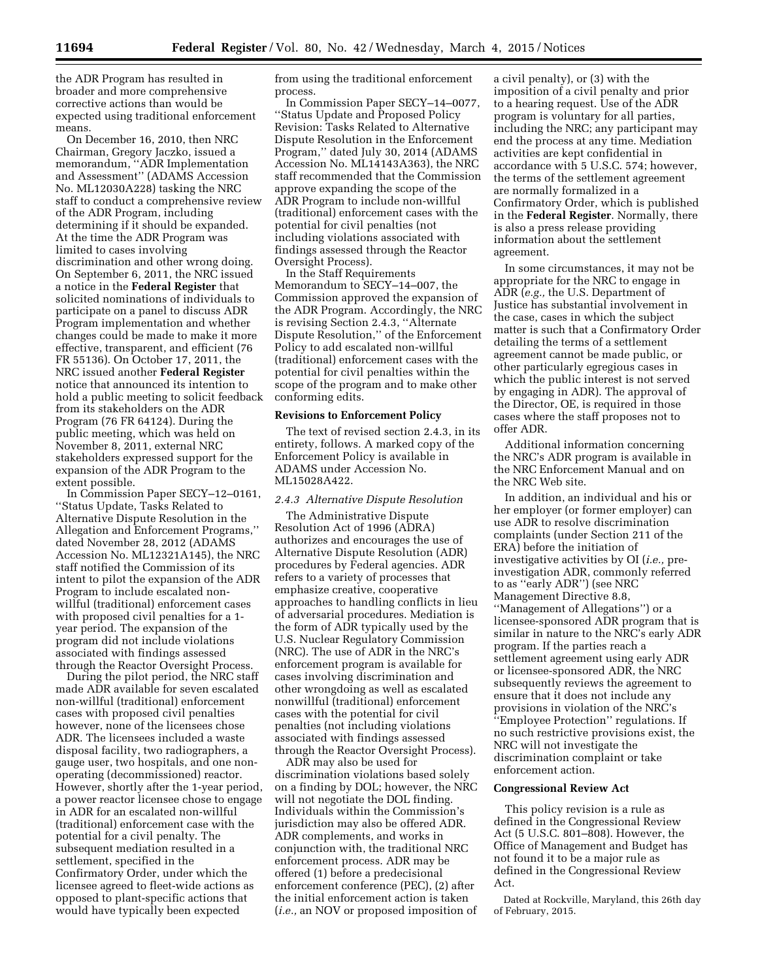the ADR Program has resulted in broader and more comprehensive corrective actions than would be expected using traditional enforcement means.

On December 16, 2010, then NRC Chairman, Gregory Jaczko, issued a memorandum, ''ADR Implementation and Assessment'' (ADAMS Accession No. ML12030A228) tasking the NRC staff to conduct a comprehensive review of the ADR Program, including determining if it should be expanded. At the time the ADR Program was limited to cases involving discrimination and other wrong doing. On September 6, 2011, the NRC issued a notice in the **Federal Register** that solicited nominations of individuals to participate on a panel to discuss ADR Program implementation and whether changes could be made to make it more effective, transparent, and efficient (76 FR 55136). On October 17, 2011, the NRC issued another **Federal Register**  notice that announced its intention to hold a public meeting to solicit feedback from its stakeholders on the ADR Program (76 FR 64124). During the public meeting, which was held on November 8, 2011, external NRC stakeholders expressed support for the expansion of the ADR Program to the extent possible.

In Commission Paper SECY–12–0161, ''Status Update, Tasks Related to Alternative Dispute Resolution in the Allegation and Enforcement Programs,'' dated November 28, 2012 (ADAMS Accession No. ML12321A145), the NRC staff notified the Commission of its intent to pilot the expansion of the ADR Program to include escalated nonwillful (traditional) enforcement cases with proposed civil penalties for a 1 year period. The expansion of the program did not include violations associated with findings assessed through the Reactor Oversight Process.

During the pilot period, the NRC staff made ADR available for seven escalated non-willful (traditional) enforcement cases with proposed civil penalties however, none of the licensees chose ADR. The licensees included a waste disposal facility, two radiographers, a gauge user, two hospitals, and one nonoperating (decommissioned) reactor. However, shortly after the 1-year period, a power reactor licensee chose to engage in ADR for an escalated non-willful (traditional) enforcement case with the potential for a civil penalty. The subsequent mediation resulted in a settlement, specified in the Confirmatory Order, under which the licensee agreed to fleet-wide actions as opposed to plant-specific actions that would have typically been expected

from using the traditional enforcement process.

In Commission Paper SECY–14–0077, ''Status Update and Proposed Policy Revision: Tasks Related to Alternative Dispute Resolution in the Enforcement Program,'' dated July 30, 2014 (ADAMS Accession No. ML14143A363), the NRC staff recommended that the Commission approve expanding the scope of the ADR Program to include non-willful (traditional) enforcement cases with the potential for civil penalties (not including violations associated with findings assessed through the Reactor Oversight Process).

In the Staff Requirements Memorandum to SECY–14–007, the Commission approved the expansion of the ADR Program. Accordingly, the NRC is revising Section 2.4.3, ''Alternate Dispute Resolution,'' of the Enforcement Policy to add escalated non-willful (traditional) enforcement cases with the potential for civil penalties within the scope of the program and to make other conforming edits.

## **Revisions to Enforcement Policy**

The text of revised section 2.4.3, in its entirety, follows. A marked copy of the Enforcement Policy is available in ADAMS under Accession No. ML15028A422.

## *2.4.3 Alternative Dispute Resolution*

The Administrative Dispute Resolution Act of 1996 (ADRA) authorizes and encourages the use of Alternative Dispute Resolution (ADR) procedures by Federal agencies. ADR refers to a variety of processes that emphasize creative, cooperative approaches to handling conflicts in lieu of adversarial procedures. Mediation is the form of ADR typically used by the U.S. Nuclear Regulatory Commission (NRC). The use of ADR in the NRC's enforcement program is available for cases involving discrimination and other wrongdoing as well as escalated nonwillful (traditional) enforcement cases with the potential for civil penalties (not including violations associated with findings assessed through the Reactor Oversight Process).

ADR may also be used for discrimination violations based solely on a finding by DOL; however, the NRC will not negotiate the DOL finding. Individuals within the Commission's jurisdiction may also be offered ADR. ADR complements, and works in conjunction with, the traditional NRC enforcement process. ADR may be offered (1) before a predecisional enforcement conference (PEC), (2) after the initial enforcement action is taken (*i.e.,* an NOV or proposed imposition of

a civil penalty), or (3) with the imposition of a civil penalty and prior to a hearing request. Use of the ADR program is voluntary for all parties, including the NRC; any participant may end the process at any time. Mediation activities are kept confidential in accordance with 5 U.S.C. 574; however, the terms of the settlement agreement are normally formalized in a Confirmatory Order, which is published in the **Federal Register**. Normally, there is also a press release providing information about the settlement agreement.

In some circumstances, it may not be appropriate for the NRC to engage in ADR (*e.g.,* the U.S. Department of Justice has substantial involvement in the case, cases in which the subject matter is such that a Confirmatory Order detailing the terms of a settlement agreement cannot be made public, or other particularly egregious cases in which the public interest is not served by engaging in ADR). The approval of the Director, OE, is required in those cases where the staff proposes not to offer ADR.

Additional information concerning the NRC's ADR program is available in the NRC Enforcement Manual and on the NRC Web site.

In addition, an individual and his or her employer (or former employer) can use ADR to resolve discrimination complaints (under Section 211 of the ERA) before the initiation of investigative activities by OI (*i.e.,* preinvestigation ADR, commonly referred to as ''early ADR'') (see NRC Management Directive 8.8, ''Management of Allegations'') or a licensee-sponsored ADR program that is similar in nature to the NRC's early ADR program. If the parties reach a settlement agreement using early ADR or licensee-sponsored ADR, the NRC subsequently reviews the agreement to ensure that it does not include any provisions in violation of the NRC's ''Employee Protection'' regulations. If no such restrictive provisions exist, the NRC will not investigate the discrimination complaint or take enforcement action.

### **Congressional Review Act**

This policy revision is a rule as defined in the Congressional Review Act (5 U.S.C. 801–808). However, the Office of Management and Budget has not found it to be a major rule as defined in the Congressional Review Act.

Dated at Rockville, Maryland, this 26th day of February, 2015.